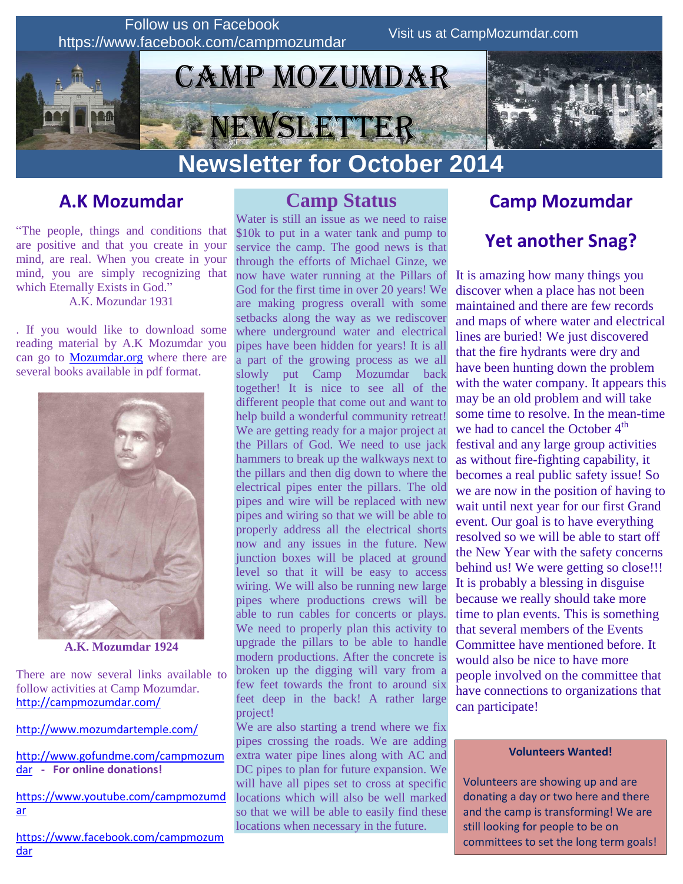

### **A.K Mozumdar**

"The people, things and conditions that are positive and that you create in your mind, are real. When you create in your mind, you are simply recognizing that which Eternally Exists in God." A.K. Mozundar 1931

. If you would like to download some reading material by A.K Mozumdar you can go to [Mozumdar.org](file:///C:/Users/Pat/Desktop/HTML%20E-mails/Camp%20Mozumdar/2014/2%20September%202014/Mozumdar.org) where there are several books available in pdf format.



**A.K. Mozumdar 1924**

There are now several links available to follow activities at Camp Mozumdar. <http://campmozumdar.com/>

<http://www.mozumdartemple.com/>

[http://www.gofundme.com/campmozum](http://www.gofundme.com/campmozumdar) [dar](http://www.gofundme.com/campmozumdar) **- For online donations!**

[https://www.youtube.com/campmozumd](https://www.youtube.com/campmozumdar) [ar](https://www.youtube.com/campmozumdar)

[https://www.facebook.com/campmozum](https://www.facebook.com/campmozumdar) [dar](https://www.facebook.com/campmozumdar)

### **Camp Status**

Water is still an issue as we need to raise \$10k to put in a water tank and pump to service the camp. The good news is that through the efforts of Michael Ginze, we now have water running at the Pillars of God for the first time in over 20 years! We are making progress overall with some setbacks along the way as we rediscover where underground water and electrical pipes have been hidden for years! It is all a part of the growing process as we all slowly put Camp Mozumdar back together! It is nice to see all of the different people that come out and want to help build a wonderful community retreat! We are getting ready for a major project at the Pillars of God. We need to use jack hammers to break up the walkways next to the pillars and then dig down to where the electrical pipes enter the pillars. The old pipes and wire will be replaced with new pipes and wiring so that we will be able to properly address all the electrical shorts now and any issues in the future. New junction boxes will be placed at ground level so that it will be easy to access wiring. We will also be running new large pipes where productions crews will be able to run cables for concerts or plays. We need to properly plan this activity to upgrade the pillars to be able to handle modern productions. After the concrete is broken up the digging will vary from a few feet towards the front to around six feet deep in the back! A rather large project!

We are also starting a trend where we fix pipes crossing the roads. We are adding extra water pipe lines along with AC and DC pipes to plan for future expansion. We will have all pipes set to cross at specific locations which will also be well marked so that we will be able to easily find these locations when necessary in the future.

### **Camp Mozumdar**

## **Yet another Snag?**

It is amazing how many things you discover when a place has not been maintained and there are few records and maps of where water and electrical lines are buried! We just discovered that the fire hydrants were dry and have been hunting down the problem with the water company. It appears this may be an old problem and will take some time to resolve. In the mean-time we had to cancel the October  $4<sup>th</sup>$ festival and any large group activities as without fire-fighting capability, it becomes a real public safety issue! So we are now in the position of having to wait until next year for our first Grand event. Our goal is to have everything resolved so we will be able to start off the New Year with the safety concerns behind us! We were getting so close!!! It is probably a blessing in disguise because we really should take more time to plan events. This is something that several members of the Events Committee have mentioned before. It would also be nice to have more people involved on the committee that have connections to organizations that can participate!

#### **Volunteers Wanted!**

Volunteers are showing up and are donating a day or two here and there and the camp is transforming! We are still looking for people to be on committees to set the long term goals!